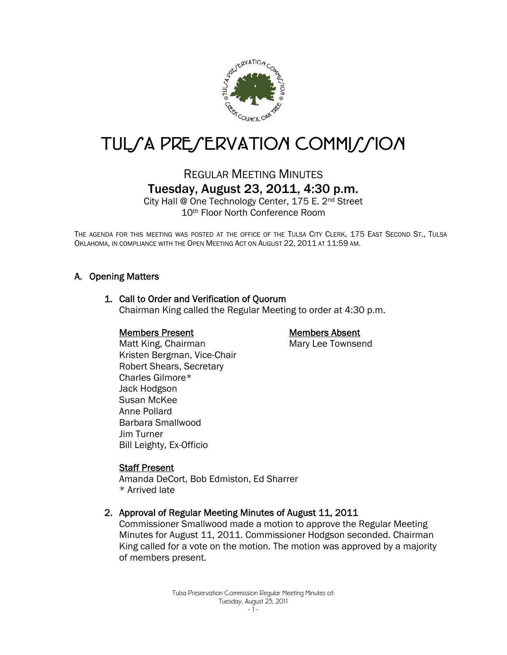

# TUL/A PRE/ERVATION COMMI//ION

## REGULAR MEETING MINUTES Tuesday, August 23, 2011, 4:30 p.m.

City Hall @ One Technology Center, 175 E. 2nd Street 10th Floor North Conference Room

THE AGENDA FOR THIS MEETING WAS POSTED AT THE OFFICE OF THE TULSA CITY CLERK, 175 EAST SECOND ST., TULSA OKLAHOMA, IN COMPLIANCE WITH THE OPEN MEETING ACT ON AUGUST 22, 2011 AT 11:59 AM.

## A. Opening Matters

## 1. Call to Order and Verification of Quorum

Chairman King called the Regular Meeting to order at 4:30 p.m.

## Members Present

## Members Absent

Mary Lee Townsend

 Matt King, Chairman Kristen Bergman, Vice-Chair Robert Shears, Secretary Charles Gilmore\* Jack Hodgson Susan McKee Anne Pollard Barbara Smallwood Jim Turner Bill Leighty, Ex-Officio

## **Staff Present**

Amanda DeCort, Bob Edmiston, Ed Sharrer \* Arrived late

## 2. Approval of Regular Meeting Minutes of August 11, 2011

Commissioner Smallwood made a motion to approve the Regular Meeting Minutes for August 11, 2011. Commissioner Hodgson seconded. Chairman King called for a vote on the motion. The motion was approved by a majority of members present.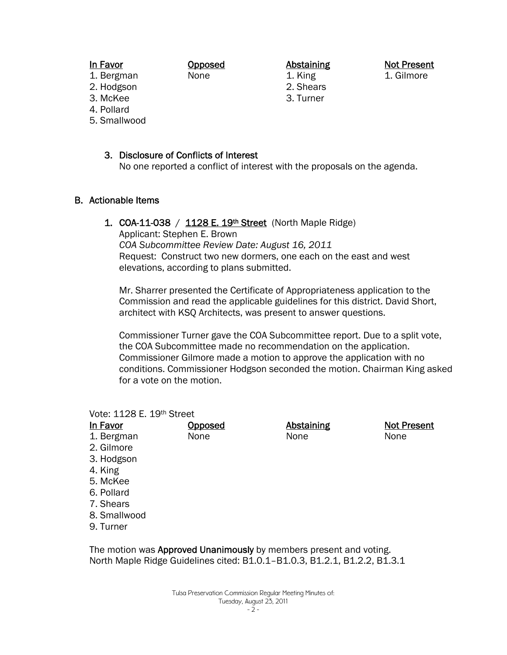In Favor

- 1. Bergman
- 2. Hodgson
- 3. McKee
- 4. Pollard
- 5. Smallwood

## 3. Disclosure of Conflicts of Interest

Opposed None

No one reported a conflict of interest with the proposals on the agenda.

Abstaining 1. King 2. Shears 3. Turner

## B. Actionable Items

## 1. COA-11-038 /  $1128 E. 19<sup>th</sup> Street (North Maple Ridge)$

**Opposed** None

Applicant: Stephen E. Brown *COA Subcommittee Review Date: August 16, 2011*  Request: Construct two new dormers, one each on the east and west elevations, according to plans submitted.

Mr. Sharrer presented the Certificate of Appropriateness application to the Commission and read the applicable guidelines for this district. David Short, architect with KSQ Architects, was present to answer questions.

Commissioner Turner gave the COA Subcommittee report. Due to a split vote, the COA Subcommittee made no recommendation on the application. Commissioner Gilmore made a motion to approve the application with no conditions. Commissioner Hodgson seconded the motion. Chairman King asked for a vote on the motion.

## Vote: 1128 E. 19th Street

In Favor 1. Bergman 2. Gilmore 3. Hodgson 4. King 5. McKee

- 6. Pollard
- 7. Shears
- 8. Smallwood
- 9. Turner

The motion was **Approved Unanimously** by members present and voting. North Maple Ridge Guidelines cited: B1.0.1–B1.0.3, B1.2.1, B1.2.2, B1.3.1

Not Present

1. Gilmore

Abstaining None

Not Present None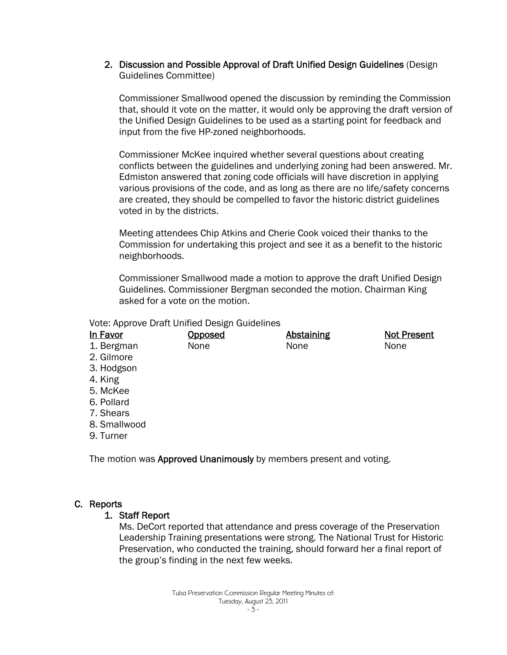2. Discussion and Possible Approval of Draft Unified Design Guidelines (Design Guidelines Committee)

Commissioner Smallwood opened the discussion by reminding the Commission that, should it vote on the matter, it would only be approving the draft version of the Unified Design Guidelines to be used as a starting point for feedback and input from the five HP-zoned neighborhoods.

Commissioner McKee inquired whether several questions about creating conflicts between the guidelines and underlying zoning had been answered. Mr. Edmiston answered that zoning code officials will have discretion in applying various provisions of the code, and as long as there are no life/safety concerns are created, they should be compelled to favor the historic district guidelines voted in by the districts.

Meeting attendees Chip Atkins and Cherie Cook voiced their thanks to the Commission for undertaking this project and see it as a benefit to the historic neighborhoods.

Commissioner Smallwood made a motion to approve the draft Unified Design Guidelines. Commissioner Bergman seconded the motion. Chairman King asked for a vote on the motion.

Vote: Approve Draft Unified Design Guidelines

| In Favor     | Opposed | <b>Abstaining</b> | <b>Not Present</b> |
|--------------|---------|-------------------|--------------------|
| 1. Bergman   | None    | None              | None               |
| 2. Gilmore   |         |                   |                    |
| 3. Hodgson   |         |                   |                    |
| 4. King      |         |                   |                    |
| 5. McKee     |         |                   |                    |
| 6. Pollard   |         |                   |                    |
| 7. Shears    |         |                   |                    |
| 8. Smallwood |         |                   |                    |
| 9. Turner    |         |                   |                    |

The motion was Approved Unanimously by members present and voting.

## C. Reports

## 1. Staff Report

Ms. DeCort reported that attendance and press coverage of the Preservation Leadership Training presentations were strong. The National Trust for Historic Preservation, who conducted the training, should forward her a final report of the group's finding in the next few weeks.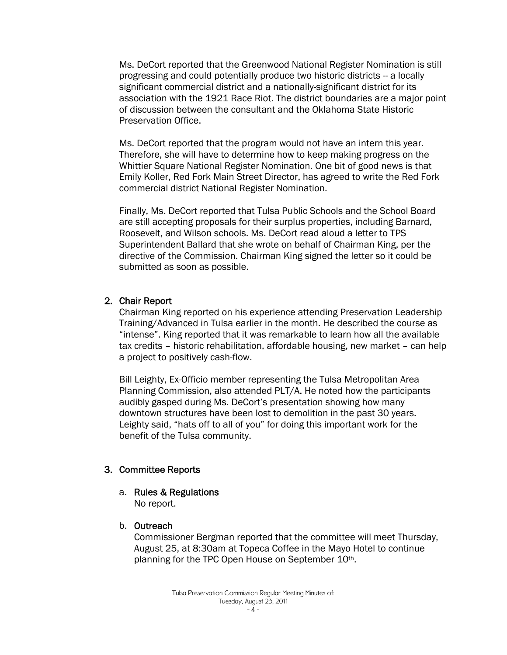Ms. DeCort reported that the Greenwood National Register Nomination is still progressing and could potentially produce two historic districts -- a locally significant commercial district and a nationally-significant district for its association with the 1921 Race Riot. The district boundaries are a major point of discussion between the consultant and the Oklahoma State Historic Preservation Office.

Ms. DeCort reported that the program would not have an intern this year. Therefore, she will have to determine how to keep making progress on the Whittier Square National Register Nomination. One bit of good news is that Emily Koller, Red Fork Main Street Director, has agreed to write the Red Fork commercial district National Register Nomination.

Finally, Ms. DeCort reported that Tulsa Public Schools and the School Board are still accepting proposals for their surplus properties, including Barnard, Roosevelt, and Wilson schools. Ms. DeCort read aloud a letter to TPS Superintendent Ballard that she wrote on behalf of Chairman King, per the directive of the Commission. Chairman King signed the letter so it could be submitted as soon as possible.

## 2. Chair Report

Chairman King reported on his experience attending Preservation Leadership Training/Advanced in Tulsa earlier in the month. He described the course as "intense". King reported that it was remarkable to learn how all the available tax credits – historic rehabilitation, affordable housing, new market – can help a project to positively cash-flow.

Bill Leighty, Ex-Officio member representing the Tulsa Metropolitan Area Planning Commission, also attended PLT/A. He noted how the participants audibly gasped during Ms. DeCort's presentation showing how many downtown structures have been lost to demolition in the past 30 years. Leighty said, "hats off to all of you" for doing this important work for the benefit of the Tulsa community.

## 3. Committee Reports

## a. Rules & Regulations

No report.

## b. Outreach

Commissioner Bergman reported that the committee will meet Thursday, August 25, at 8:30am at Topeca Coffee in the Mayo Hotel to continue planning for the TPC Open House on September 10th.